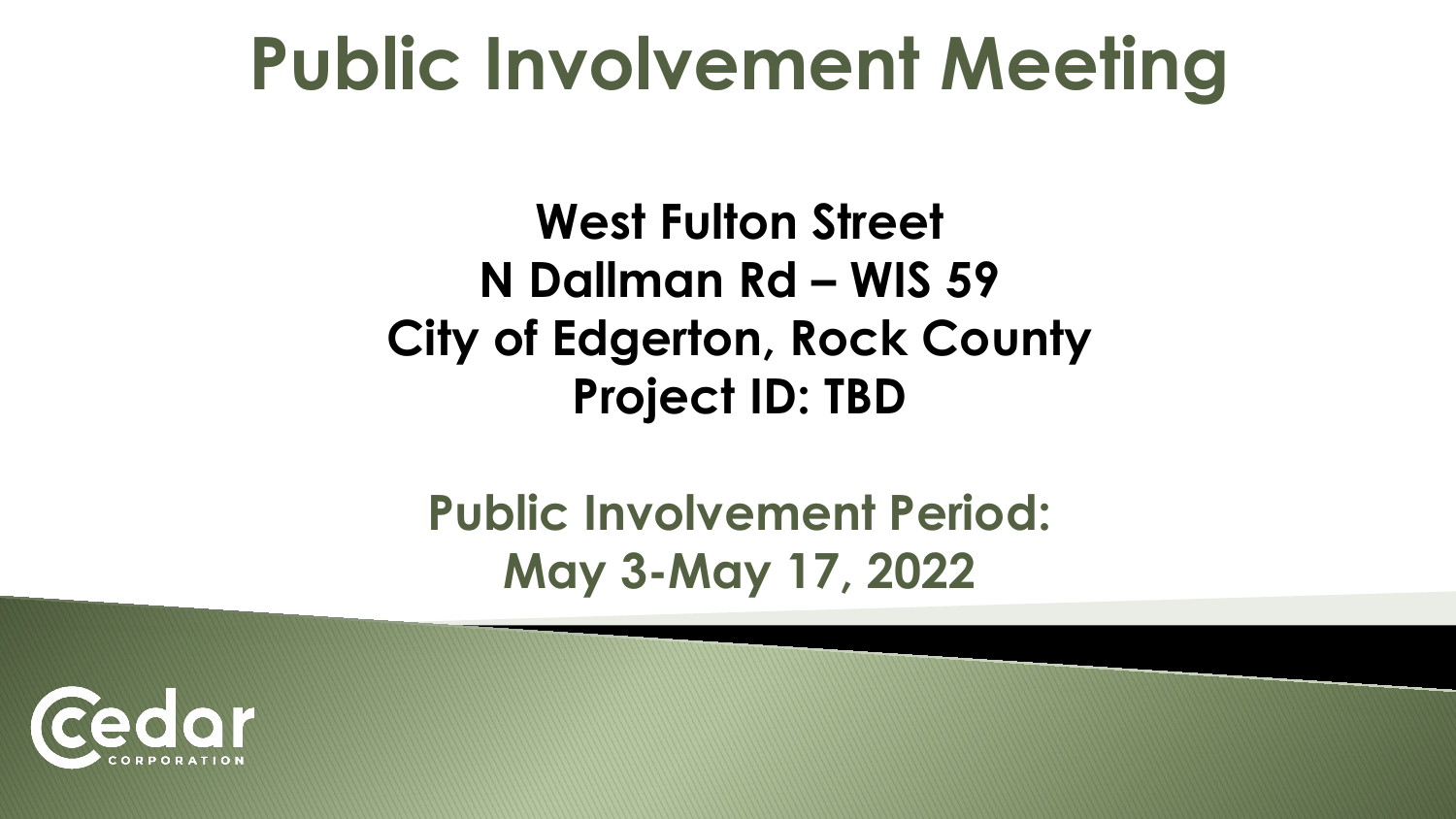# **Public Involvement Meeting**

**West Fulton Street N Dallman Rd – WIS 59 City of Edgerton, Rock County Project ID: TBD**

**Public Involvement Period: May 3-May 17, 2022**

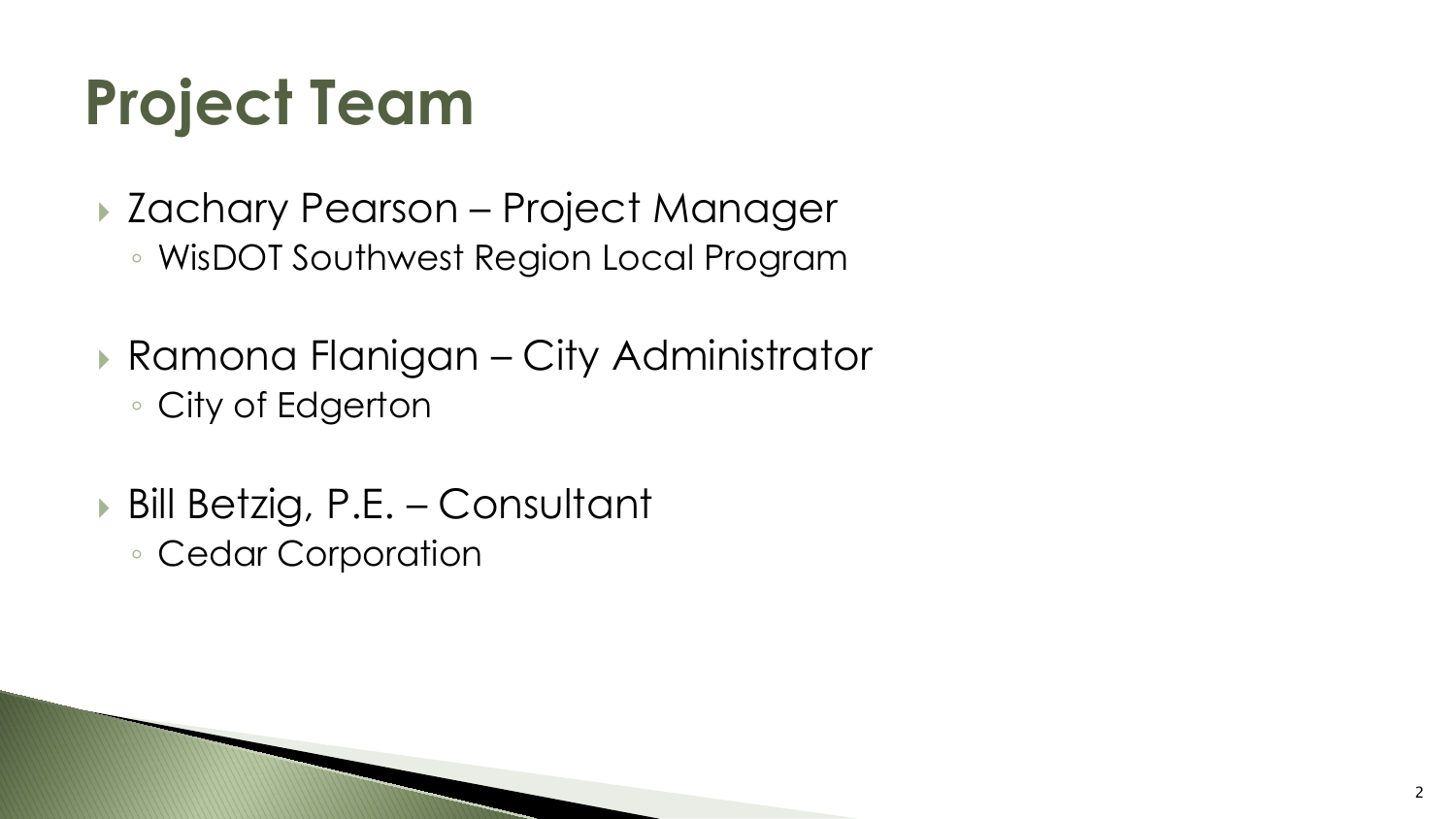## **Project Team**

- ▶ Zachary Pearson Project Manager
	- WisDOT Southwest Region Local Program
- Ramona Flanigan City Administrator ◦ City of Edgerton
- ▶ Bill Betzig, P.E. Consultant
	- Cedar Corporation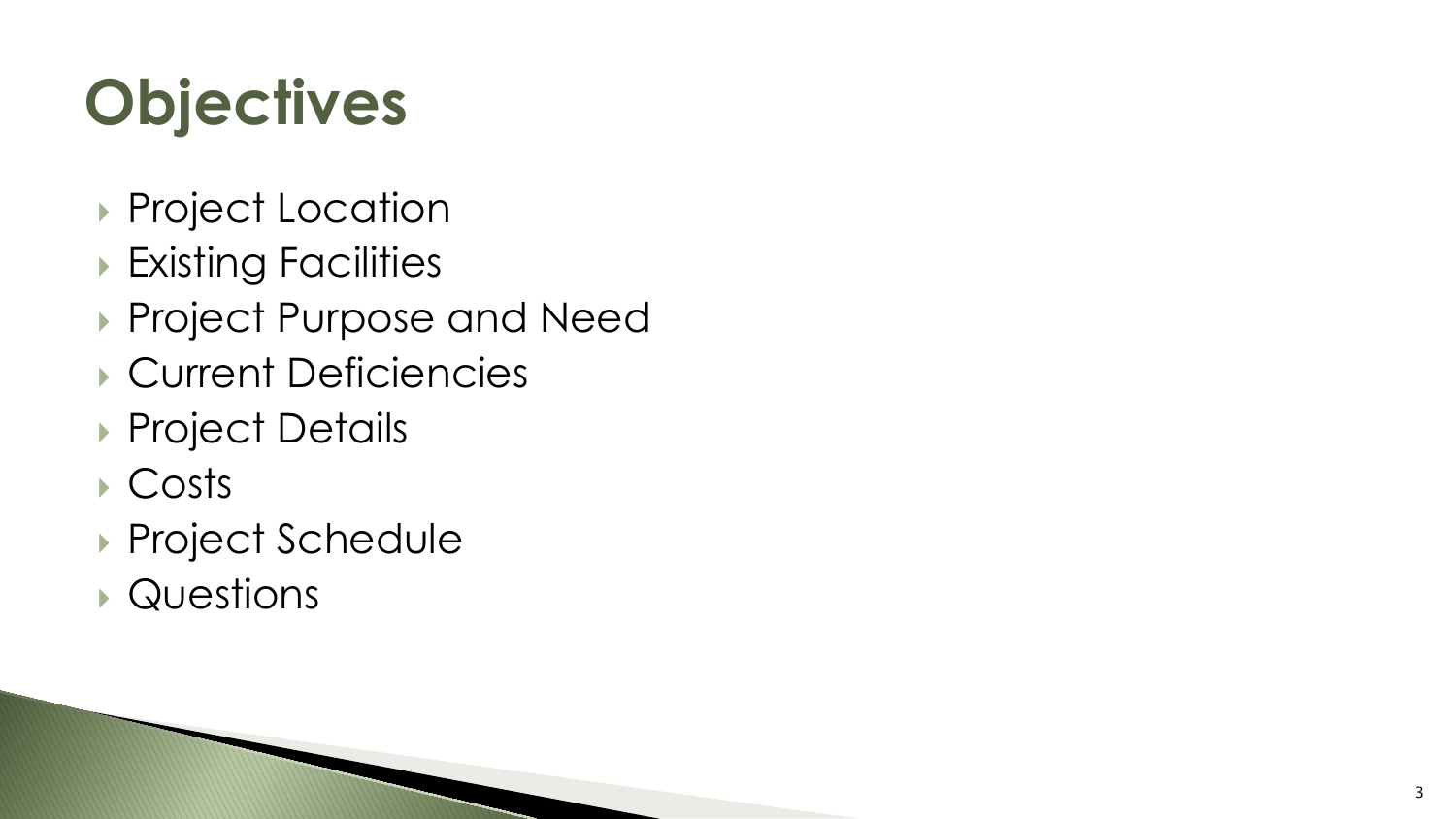# **Objectives**

- **Project Location**
- **Existing Facilities**
- ▶ Project Purpose and Need
- Current Deficiencies
- ▶ Project Details
- Costs
- ▶ Project Schedule
- Questions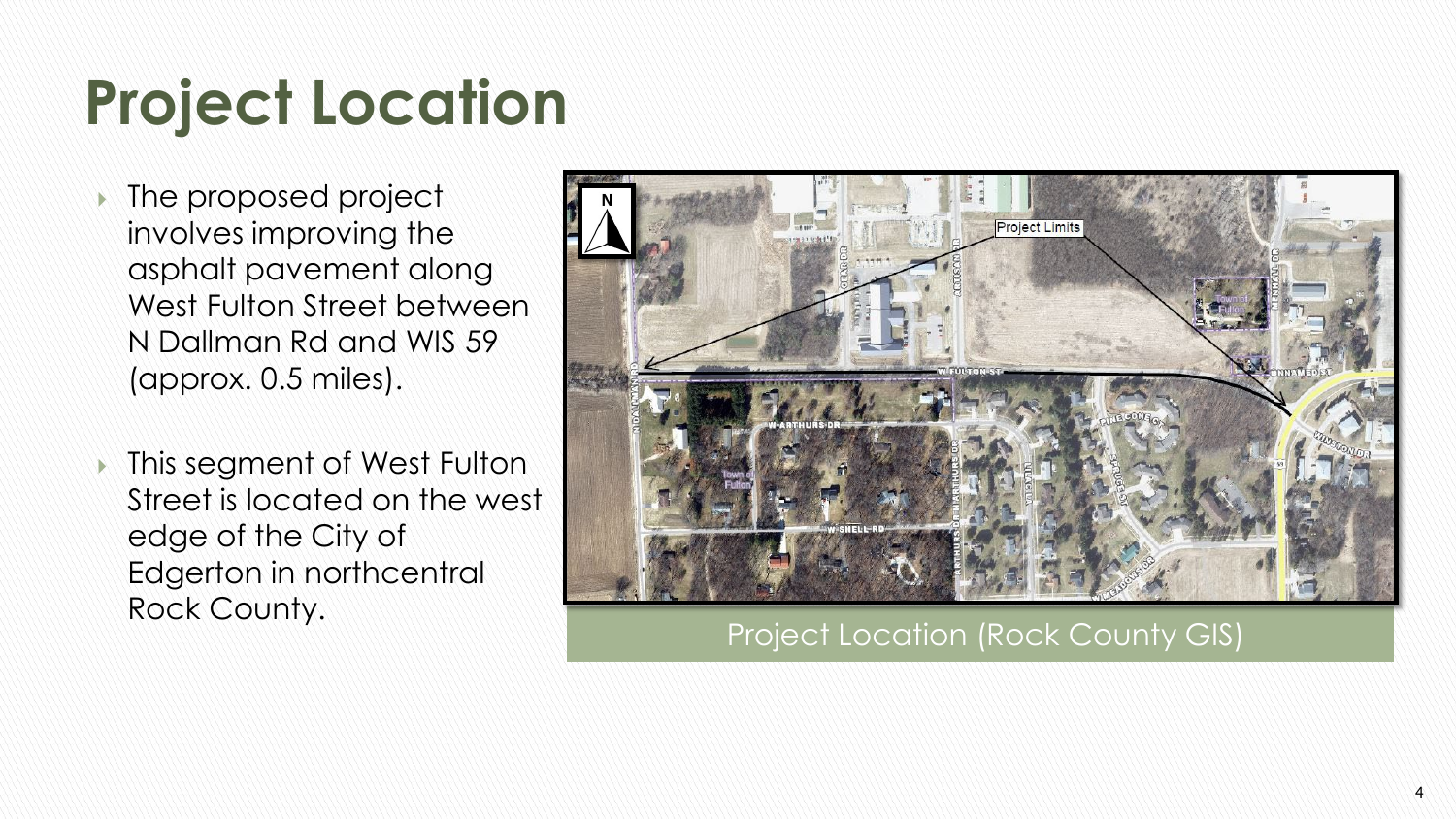# **Project Location**

- **If the proposed project** involves improving the asphalt pavement along West Fulton Street between N Dallman Rd and WIS 59 (approx. 0.5 miles).
- **In This segment of West Fulton** Street is located on the west edge of the City of Edgerton in northcentral Rock County.

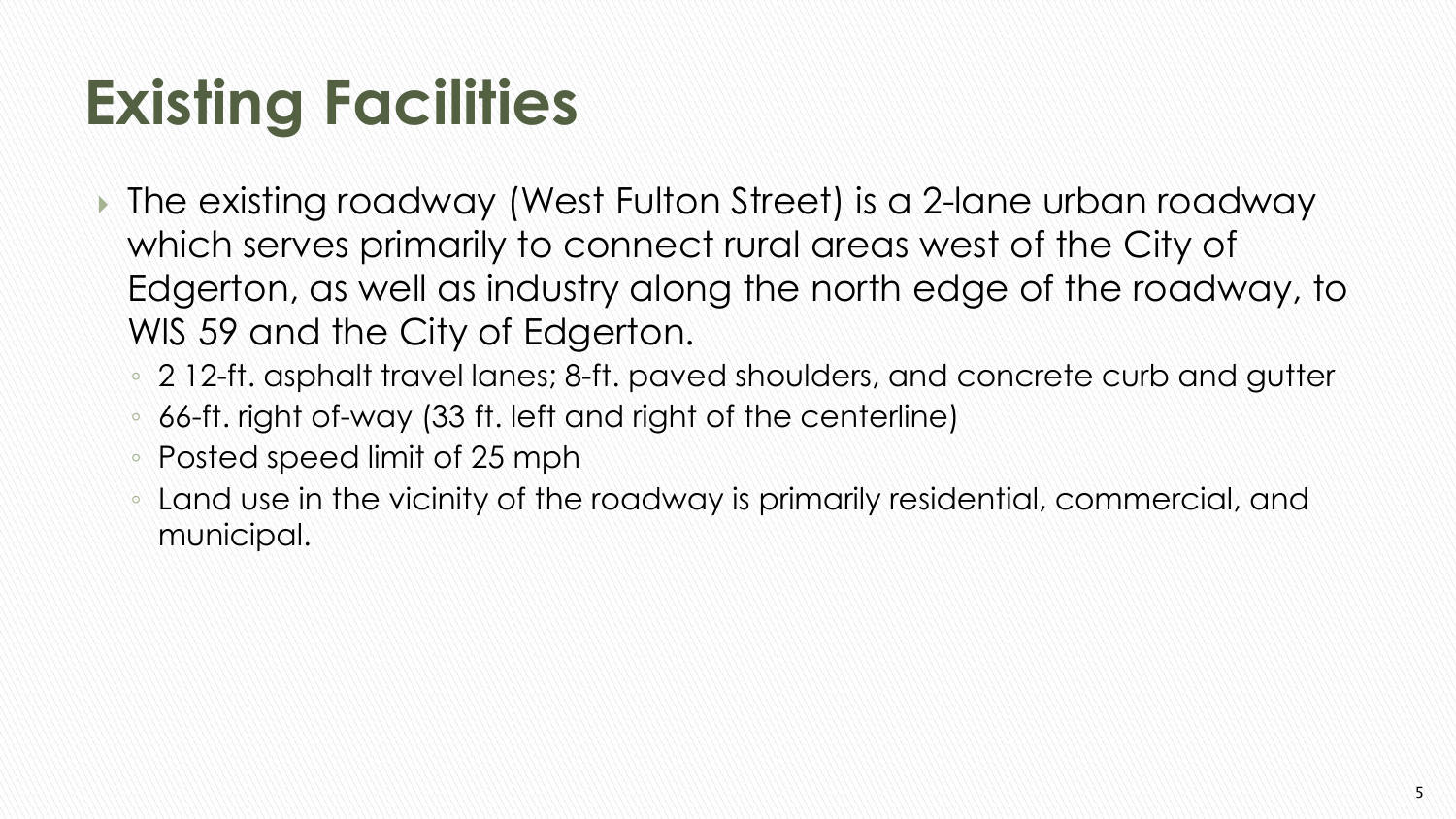# **Existing Facilities**

- The existing roadway (West Fulton Street) is a 2-lane urban roadway which serves primarily to connect rural areas west of the City of Edgerton, as well as industry along the north edge of the roadway, to WIS 59 and the City of Edgerton.
	- 2 12-ft. asphalt travel lanes; 8-ft. paved shoulders, and concrete curb and gutter
	- 66-ft. right of-way (33 ft. left and right of the centerline)
	- Posted speed limit of 25 mph
	- Land use in the vicinity of the roadway is primarily residential, commercial, and municipal.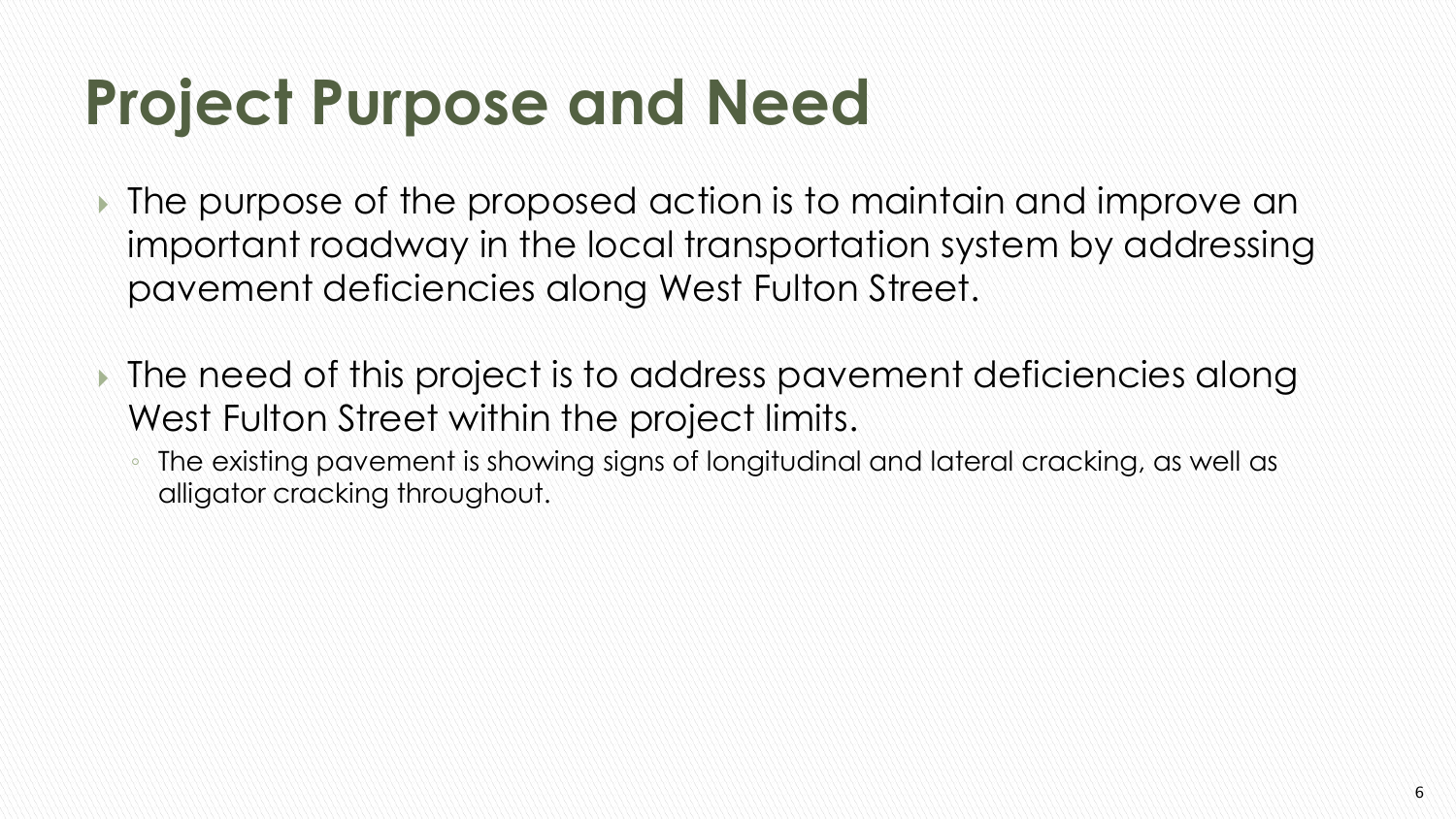## **Project Purpose and Need**

- The purpose of the proposed action is to maintain and improve an important roadway in the local transportation system by addressing pavement deficiencies along West Fulton Street.
- The need of this project is to address pavement deficiencies along West Fulton Street within the project limits.
	- The existing pavement is showing signs of longitudinal and lateral cracking, as well as alligator cracking throughout.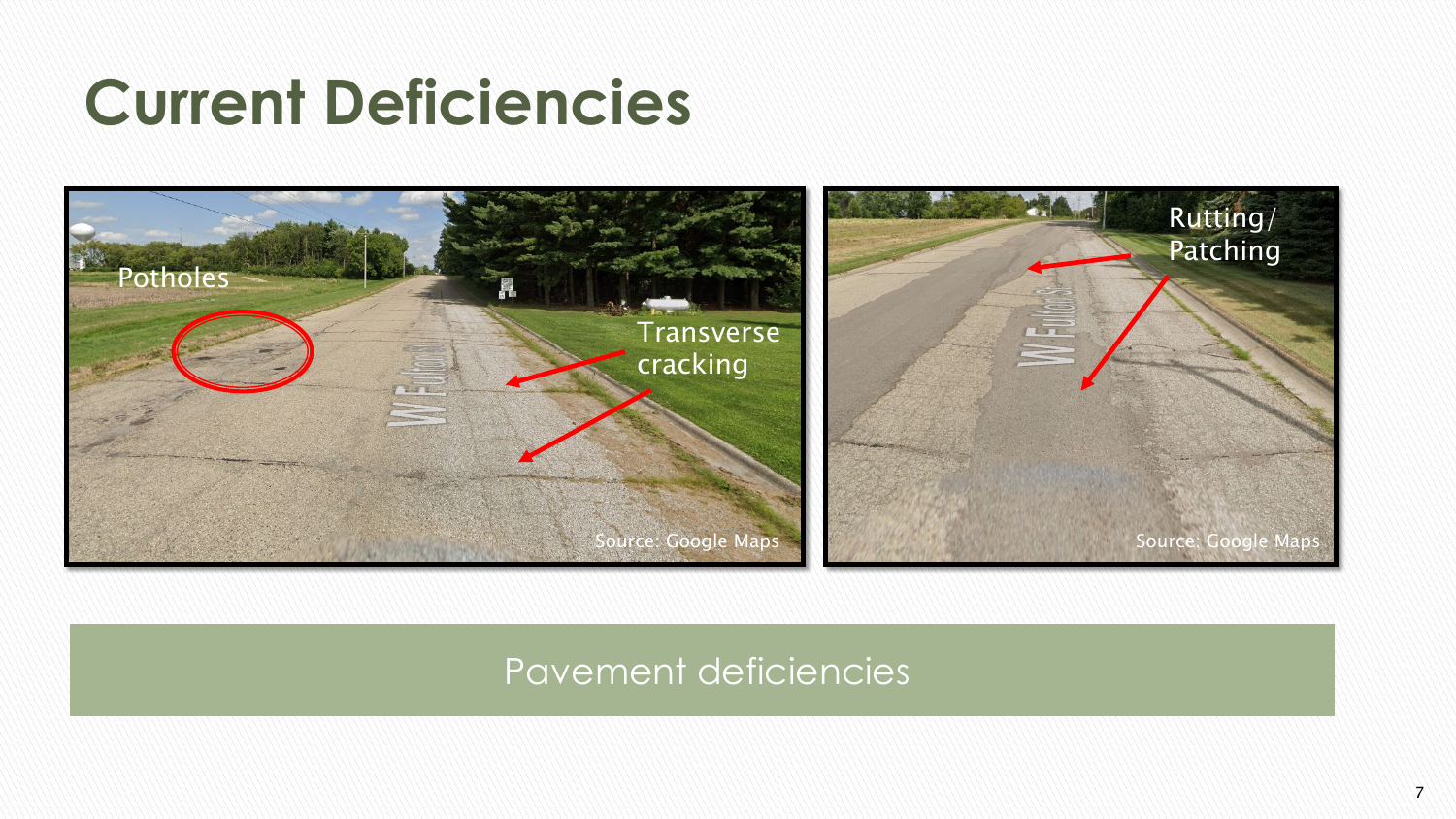### **Current Deficiencies**



#### Pavement deficiencies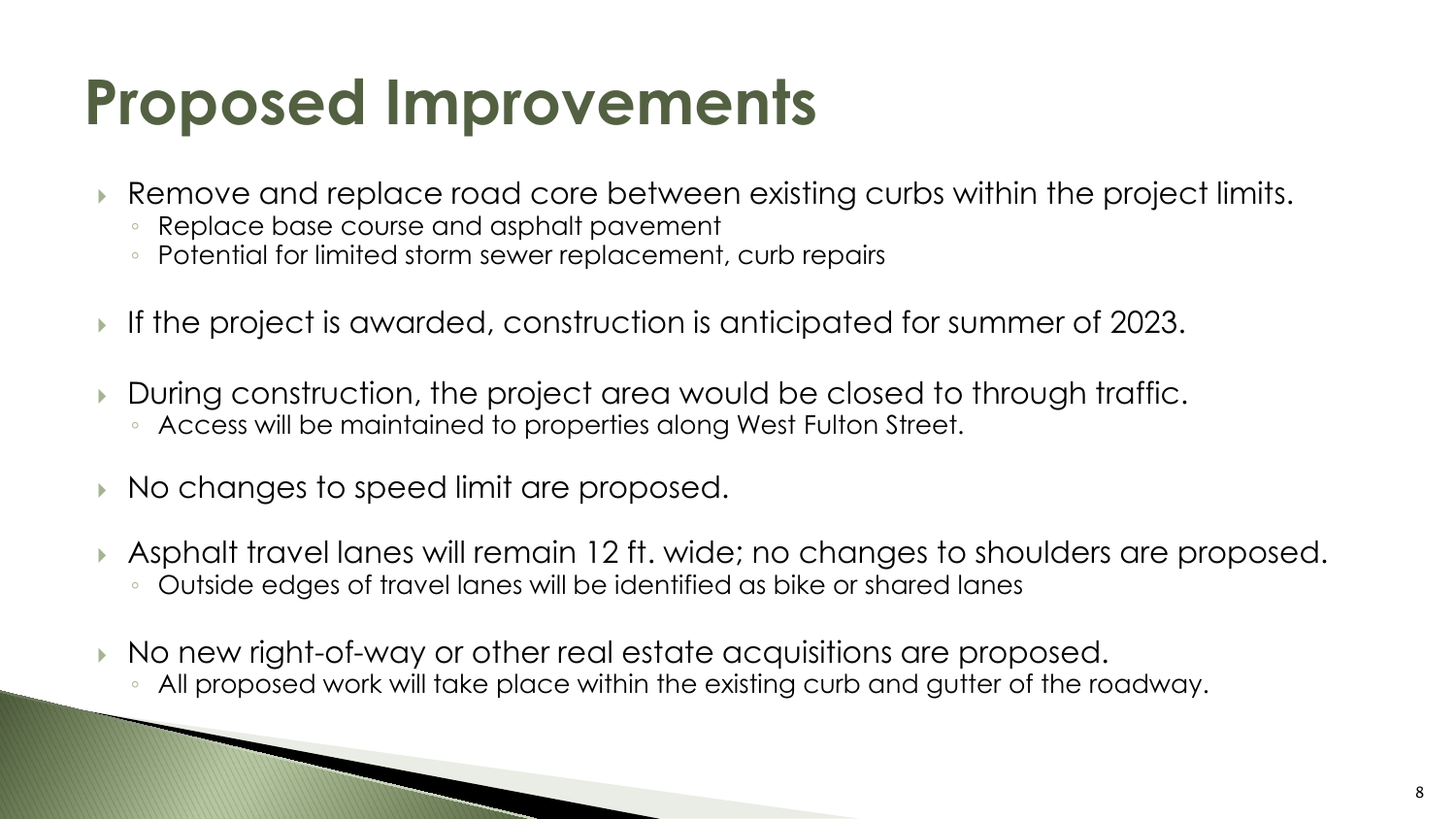## **Proposed Improvements**

- Remove and replace road core between existing curbs within the project limits.
	- Replace base course and asphalt pavement
	- Potential for limited storm sewer replacement, curb repairs
- If the project is awarded, construction is anticipated for summer of 2023.
- During construction, the project area would be closed to through traffic. ◦ Access will be maintained to properties along West Fulton Street.
- No changes to speed limit are proposed.
- Asphalt travel lanes will remain 12 ft. wide; no changes to shoulders are proposed. ◦ Outside edges of travel lanes will be identified as bike or shared lanes
- No new right-of-way or other real estate acquisitions are proposed. All proposed work will take place within the existing curb and gutter of the roadway.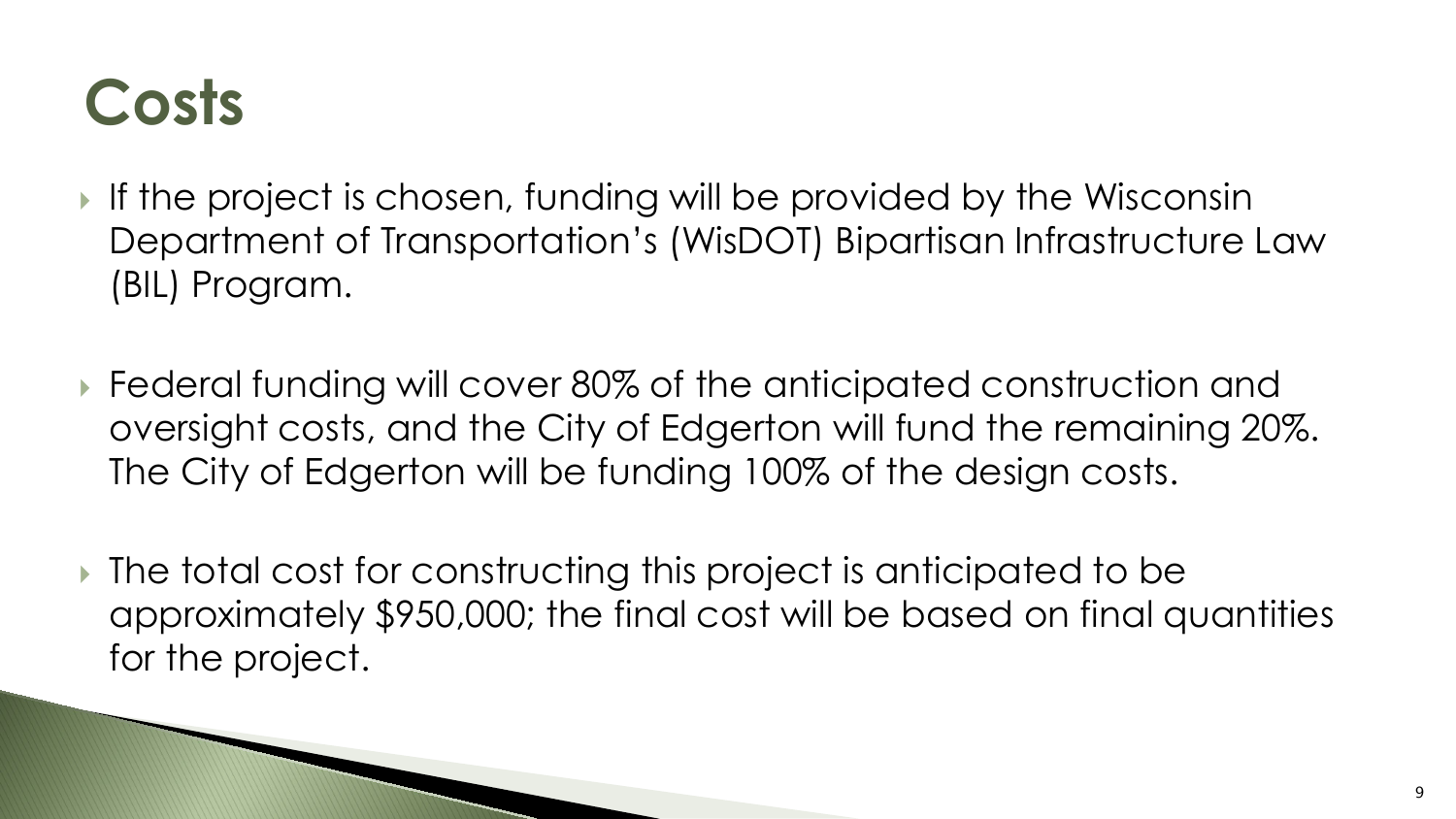### **Costs**

- If the project is chosen, funding will be provided by the Wisconsin Department of Transportation's (WisDOT) Bipartisan Infrastructure Law (BIL) Program.
- Federal funding will cover 80% of the anticipated construction and oversight costs, and the City of Edgerton will fund the remaining 20%. The City of Edgerton will be funding 100% of the design costs.
- ▶ The total cost for constructing this project is anticipated to be approximately \$950,000; the final cost will be based on final quantities for the project.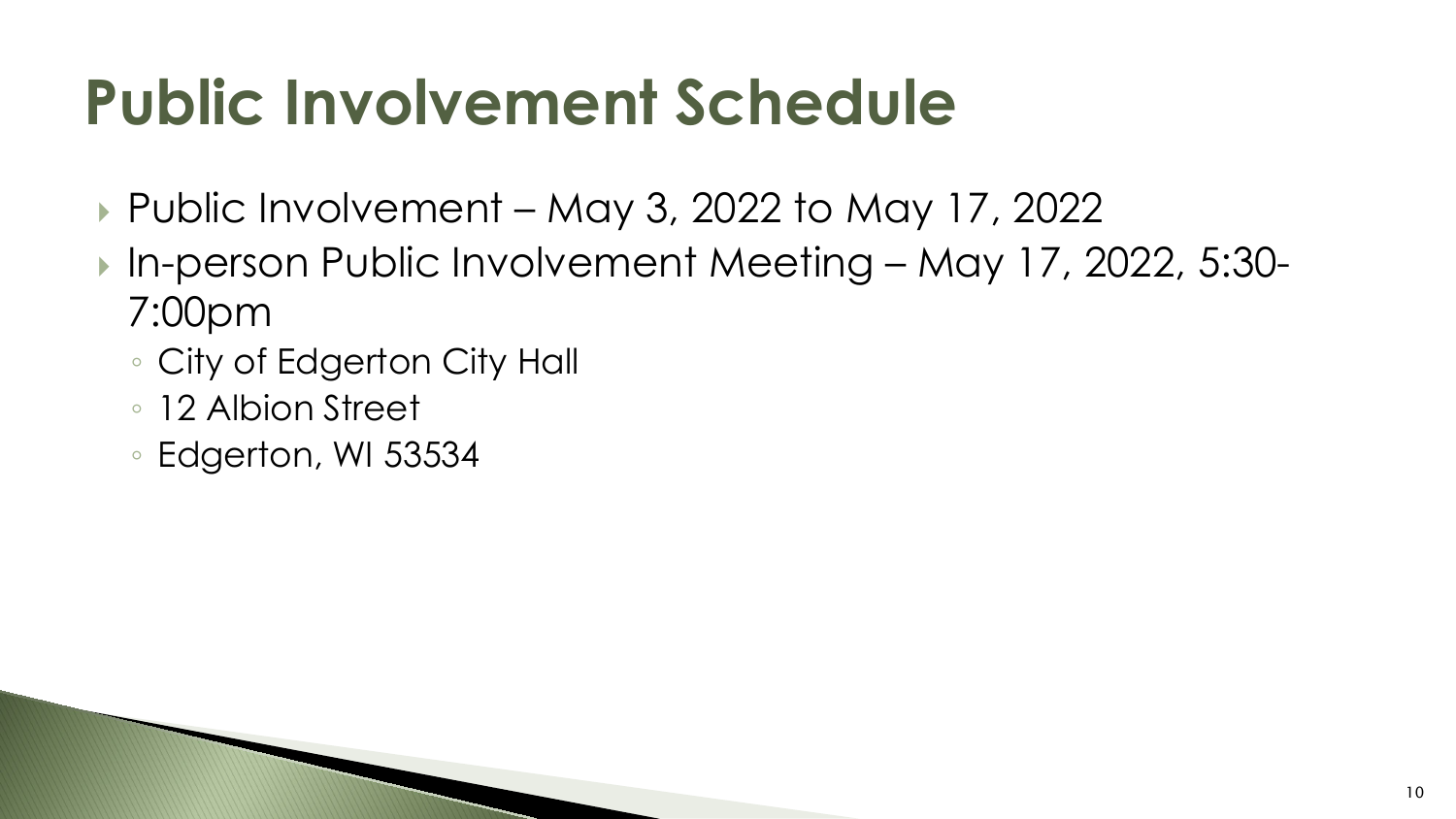## **Public Involvement Schedule**

- ▶ Public Involvement May 3, 2022 to May 17, 2022
- In-person Public Involvement Meeting May 17, 2022, 5:30-7:00pm
	- City of Edgerton City Hall
	- 12 Albion Street
	- Edgerton, WI 53534